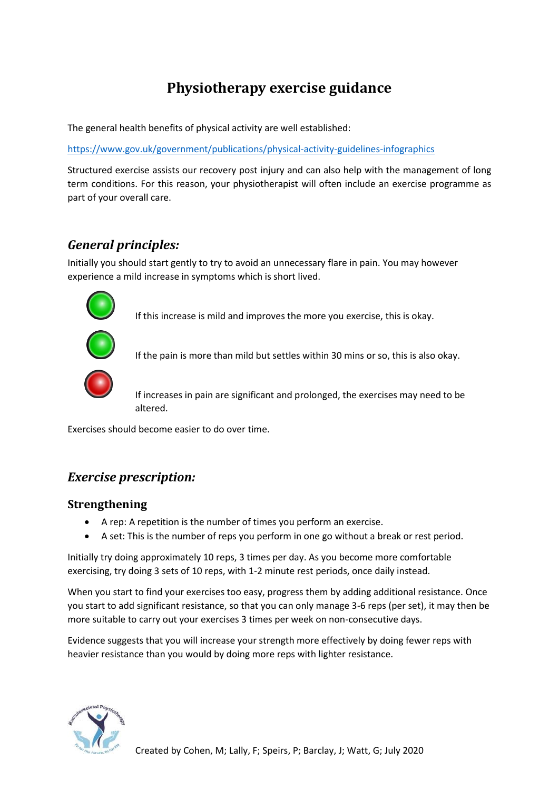# **Physiotherapy exercise guidance**

The general health benefits of physical activity are well established:

<https://www.gov.uk/government/publications/physical-activity-guidelines-infographics>

Structured exercise assists our recovery post injury and can also help with the management of long term conditions. For this reason, your physiotherapist will often include an exercise programme as part of your overall care.

# *General principles:*

Initially you should start gently to try to avoid an unnecessary flare in pain. You may however experience a mild increase in symptoms which is short lived.



If this increase is mild and improves the more you exercise, this is okay.



If the pain is more than mild but settles within 30 mins or so, this is also okay.



If increases in pain are significant and prolonged, the exercises may need to be altered.

Exercises should become easier to do over time.

# *Exercise prescription:*

## **Strengthening**

- A rep: A repetition is the number of times you perform an exercise.
- A set: This is the number of reps you perform in one go without a break or rest period.

Initially try doing approximately 10 reps, 3 times per day. As you become more comfortable exercising, try doing 3 sets of 10 reps, with 1-2 minute rest periods, once daily instead.

When you start to find your exercises too easy, progress them by adding additional resistance. Once you start to add significant resistance, so that you can only manage 3-6 reps (per set), it may then be more suitable to carry out your exercises 3 times per week on non-consecutive days.

Evidence suggests that you will increase your strength more effectively by doing fewer reps with heavier resistance than you would by doing more reps with lighter resistance.

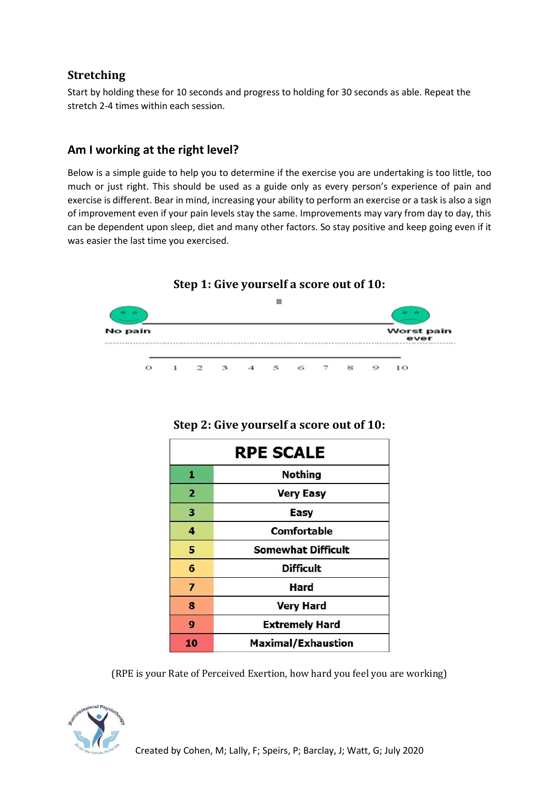## **Stretching**

Start by holding these for 10 seconds and progress to holding for 30 seconds as able. Repeat the stretch 2-4 times within each session.

# **Am I working at the right level?**

Below is a simple guide to help you to determine if the exercise you are undertaking is too little, too much or just right. This should be used as a guide only as every person's experience of pain and exercise is different. Bear in mind, increasing your ability to perform an exercise or a task is also a sign of improvement even if your pain levels stay the same. Improvements may vary from day to day, this can be dependent upon sleep, diet and many other factors. So stay positive and keep going even if it was easier the last time you exercised.



| <b>RPE SCALE</b>        |                           |
|-------------------------|---------------------------|
| 1                       | <b>Nothing</b>            |
| $\mathbf{2}$            | <b>Very Easy</b>          |
| 3                       | Easy                      |
| 4                       | <b>Comfortable</b>        |
| 5                       | <b>Somewhat Difficult</b> |
| 6                       | <b>Difficult</b>          |
| $\overline{\mathbf{z}}$ | <b>Hard</b>               |
| 8                       | <b>Very Hard</b>          |
| 9                       | <b>Extremely Hard</b>     |
| 10                      | <b>Maximal/Exhaustion</b> |

## **Step 2: Give yourself a score out of 10:**

(RPE is your Rate of Perceived Exertion, how hard you feel you are working)

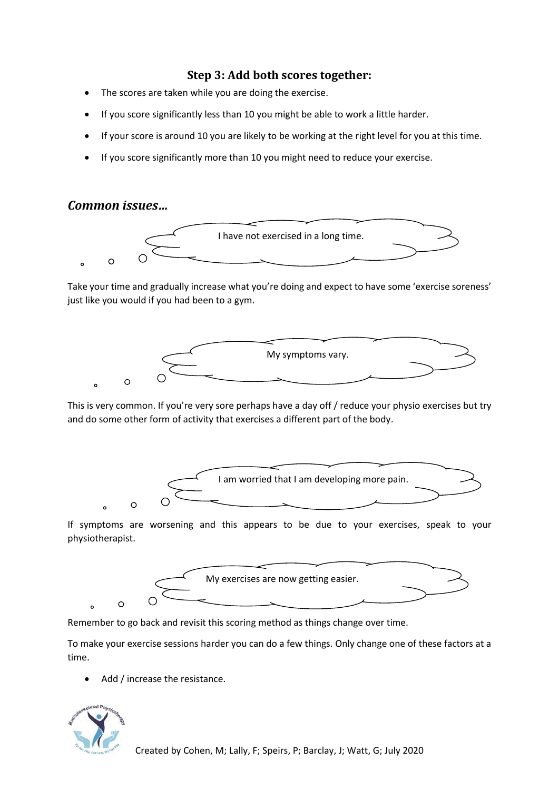#### **Step 3: Add both scores together:**

- The scores are taken while you are doing the exercise.
- If you score significantly less than 10 you might be able to work a little harder.
- If your score is around 10 you are likely to be working at the right level for you at this time.
- If you score significantly more than 10 you might need to reduce your exercise.

#### *Common issues…*



Take your time and gradually increase what you're doing and expect to have some 'exercise soreness' just like you would if you had been to a gym.



This is very common. If you're very sore perhaps have a day off / reduce your physio exercises but try and do some other form of activity that exercises a different part of the body.



If symptoms are worsening and this appears to be due to your exercises, speak to your physiotherapist.



Remember to go back and revisit this scoring method as things change over time.

To make your exercise sessions harder you can do a few things. Only change one of these factors at a time.

Add / increase the resistance.